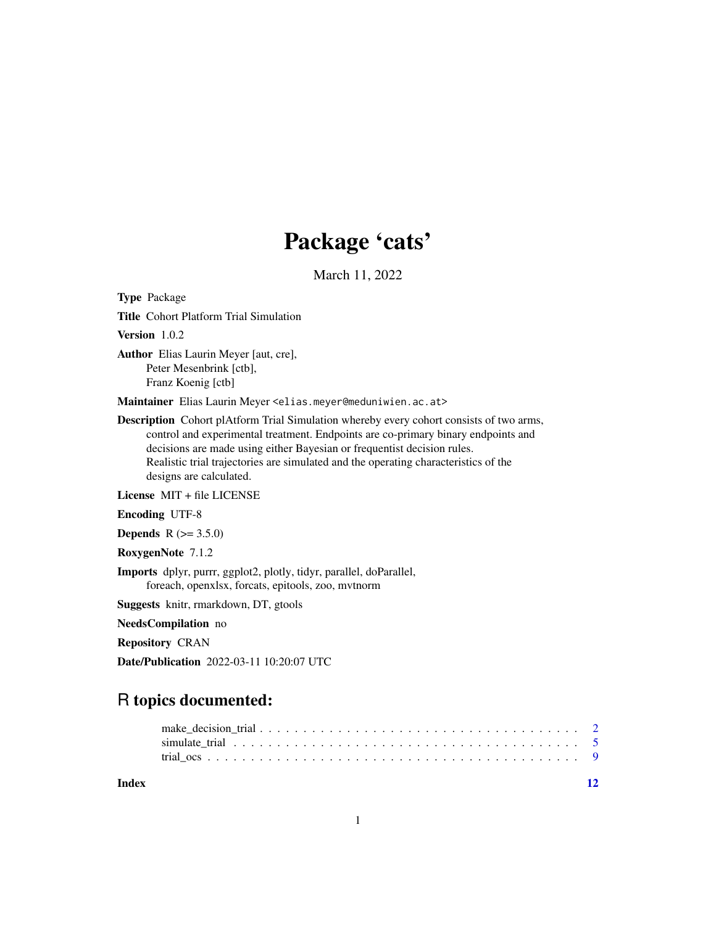## Package 'cats'

March 11, 2022

Type Package

Title Cohort Platform Trial Simulation

Version 1.0.2

Author Elias Laurin Meyer [aut, cre], Peter Mesenbrink [ctb], Franz Koenig [ctb]

Maintainer Elias Laurin Meyer <elias.meyer@meduniwien.ac.at>

Description Cohort plAtform Trial Simulation whereby every cohort consists of two arms, control and experimental treatment. Endpoints are co-primary binary endpoints and decisions are made using either Bayesian or frequentist decision rules. Realistic trial trajectories are simulated and the operating characteristics of the designs are calculated.

License MIT + file LICENSE

Encoding UTF-8

**Depends** R  $(>= 3.5.0)$ 

RoxygenNote 7.1.2

Imports dplyr, purrr, ggplot2, plotly, tidyr, parallel, doParallel, foreach, openxlsx, forcats, epitools, zoo, mvtnorm

Suggests knitr, rmarkdown, DT, gtools

NeedsCompilation no

Repository CRAN

Date/Publication 2022-03-11 10:20:07 UTC

### R topics documented:

| Index |  |  |  |  |  |  |  |  |  |  |  |  |  |  |  | 12 |  |
|-------|--|--|--|--|--|--|--|--|--|--|--|--|--|--|--|----|--|
|       |  |  |  |  |  |  |  |  |  |  |  |  |  |  |  |    |  |
|       |  |  |  |  |  |  |  |  |  |  |  |  |  |  |  |    |  |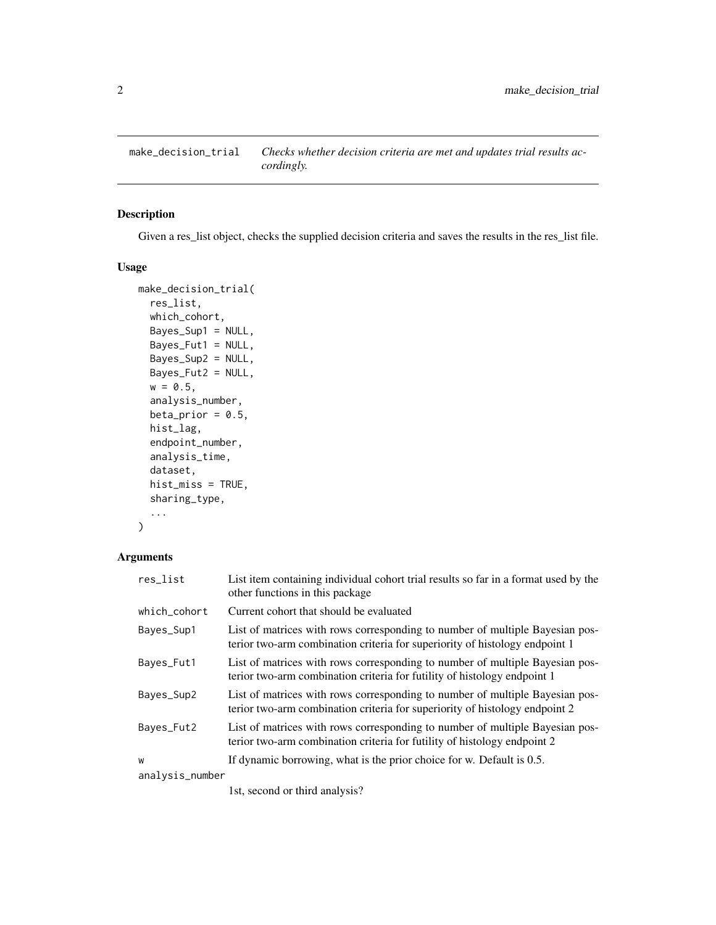<span id="page-1-0"></span>

#### Description

Given a res\_list object, checks the supplied decision criteria and saves the results in the res\_list file.

#### Usage

```
make_decision_trial(
  res_list,
 which_cohort,
 Bayes_Sup1 = NULL,
 Bayes_Fut1 = NULL,
 Bayes_Sup2 = NULL,
 Bayes_Fut2 = NULL,
 w = 0.5,
  analysis_number,
 beta_prior = 0.5,
  hist_lag,
  endpoint_number,
  analysis_time,
  dataset,
 hist_miss = TRUE,
  sharing_type,
  ...
)
```
#### Arguments

| res_list        | List item containing individual cohort trial results so far in a format used by the<br>other functions in this package                                      |
|-----------------|-------------------------------------------------------------------------------------------------------------------------------------------------------------|
| which cohort    | Current cohort that should be evaluated                                                                                                                     |
| Bayes_Sup1      | List of matrices with rows corresponding to number of multiple Bayesian pos-<br>terior two-arm combination criteria for superiority of histology endpoint 1 |
| Bayes_Fut1      | List of matrices with rows corresponding to number of multiple Bayesian pos-<br>terior two-arm combination criteria for futility of histology endpoint 1    |
| Bayes_Sup2      | List of matrices with rows corresponding to number of multiple Bayesian pos-<br>terior two-arm combination criteria for superiority of histology endpoint 2 |
| Bayes_Fut2      | List of matrices with rows corresponding to number of multiple Bayesian pos-<br>terior two-arm combination criteria for futility of histology endpoint 2    |
| W               | If dynamic borrowing, what is the prior choice for w. Default is 0.5.                                                                                       |
| analysis_number |                                                                                                                                                             |

1st, second or third analysis?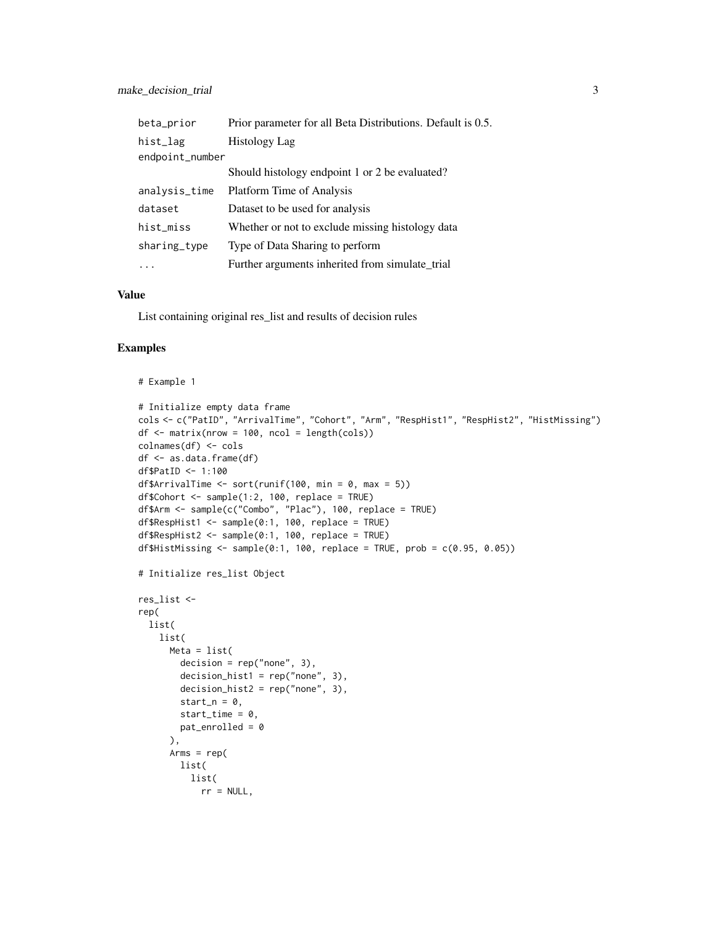| beta_prior      | Prior parameter for all Beta Distributions. Default is 0.5. |  |  |  |  |  |  |  |
|-----------------|-------------------------------------------------------------|--|--|--|--|--|--|--|
| hist_lag        | Histology Lag                                               |  |  |  |  |  |  |  |
| endpoint_number |                                                             |  |  |  |  |  |  |  |
|                 | Should histology endpoint 1 or 2 be evaluated?              |  |  |  |  |  |  |  |
| analysis_time   | Platform Time of Analysis                                   |  |  |  |  |  |  |  |
| dataset         | Dataset to be used for analysis                             |  |  |  |  |  |  |  |
| hist_miss       | Whether or not to exclude missing histology data            |  |  |  |  |  |  |  |
| sharing_type    | Type of Data Sharing to perform                             |  |  |  |  |  |  |  |
|                 | Further arguments inherited from simulate_trial             |  |  |  |  |  |  |  |

#### Value

List containing original res\_list and results of decision rules

#### Examples

```
# Example 1
# Initialize empty data frame
cols <- c("PatID", "ArrivalTime", "Cohort", "Arm", "RespHist1", "RespHist2", "HistMissing")
df \leftarrow matrix(nrow = 100, ncol = length(cols))colnames(df) <- cols
df <- as.data.frame(df)
df$PatID <- 1:100
df$ArrivalTime \le sort(runif(100, min = 0, max = 5))
df$Cohort <- sample(1:2, 100, replace = TRUE)
df$Arm <- sample(c("Combo", "Plac"), 100, replace = TRUE)
df$RespHist1 <- sample(0:1, 100, replace = TRUE)
df$RespHist2 <- sample(0:1, 100, replace = TRUE)
df$HistMissing \leq sample(0:1, 100, replace = TRUE, prob = c(0.95, 0.05))
# Initialize res_list Object
res_list <-
rep(
 list(
   list(
     Meta = list(
        decision = rep("none", 3),decision_hist1 = rep("none", 3),
       decision\_hist2 = rep("none", 3),start_n = 0,
        start_time = 0,
        pat_enrolled = 0
      ),
      Arms = rep(list(
         list(
            rr = NULL,
```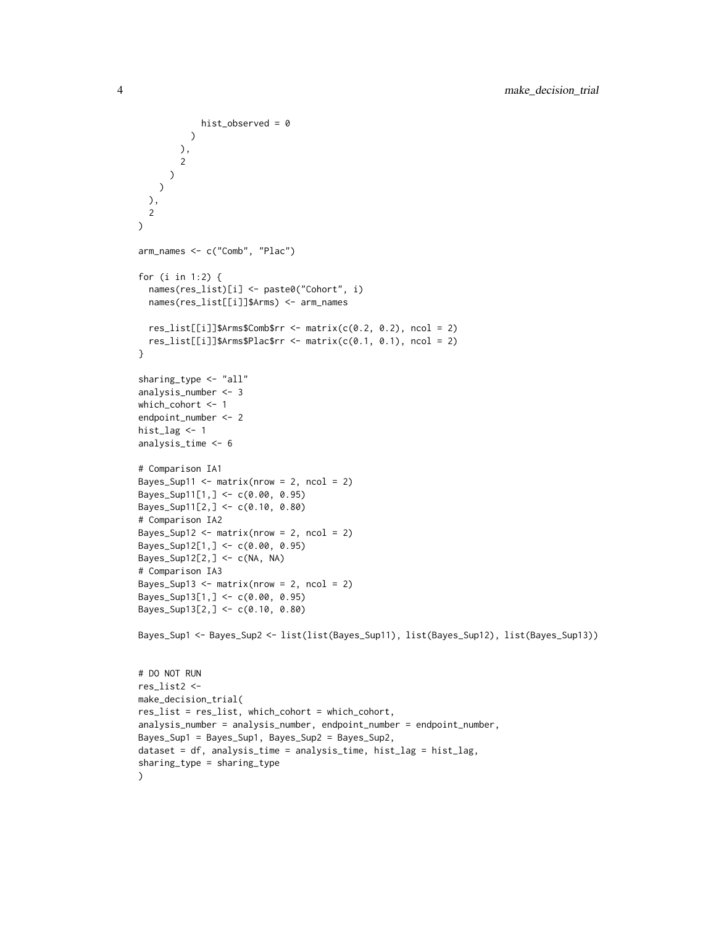```
)
        ),
       2
      )
    )
 ),
  2
\lambdaarm_names <- c("Comb", "Plac")
for (i in 1:2) {
  names(res_list)[i] <- paste0("Cohort", i)
  names(res_list[[i]]$Arms) <- arm_names
  res_list[[i]]$Arms$Comb$rr <- matrix(c(0.2, 0.2), ncol = 2)
  res_list[[i]]$Arms$Plac$rr <- matrix(c(0.1, 0.1), ncol = 2)
}
sharing_type <- "all"
analysis_number <- 3
which_cohort <- 1
endpoint_number <- 2
hist_lag <- 1
analysis_time <- 6
# Comparison IA1
Bayes_Sup11 <- matrix(nrow = 2, ncol = 2)
Bayes_Sup11[1,] <- c(0.00, 0.95)
Bayes_Sup11[2,] <- c(0.10, 0.80)
# Comparison IA2
Bayes_Sup12 <- matrix(nrow = 2, ncol = 2)
Bayes_Sup12[1,] <- c(0.00, 0.95)
Bayes_Sup12[2,] <- c(NA, NA)
# Comparison IA3
Bayes_Sup13 <- matrix(nrow = 2, ncol = 2)
Bayes_Sup13[1,] <- c(0.00, 0.95)
Bayes_Sup13[2,] <- c(0.10, 0.80)
Bayes_Sup1 <- Bayes_Sup2 <- list(list(Bayes_Sup11), list(Bayes_Sup12), list(Bayes_Sup13))
# DO NOT RUN
res_list2 <-
make_decision_trial(
res_list = res_list, which_cohort = which_cohort,
analysis_number = analysis_number, endpoint_number = endpoint_number,
Bayes_Sup1 = Bayes_Sup1, Bayes_Sup2 = Bayes_Sup2,
dataset = df, analysis_time = analysis_time, hist_lag = hist_lag,
sharing_type = sharing_type
)
```
hist\_observed = 0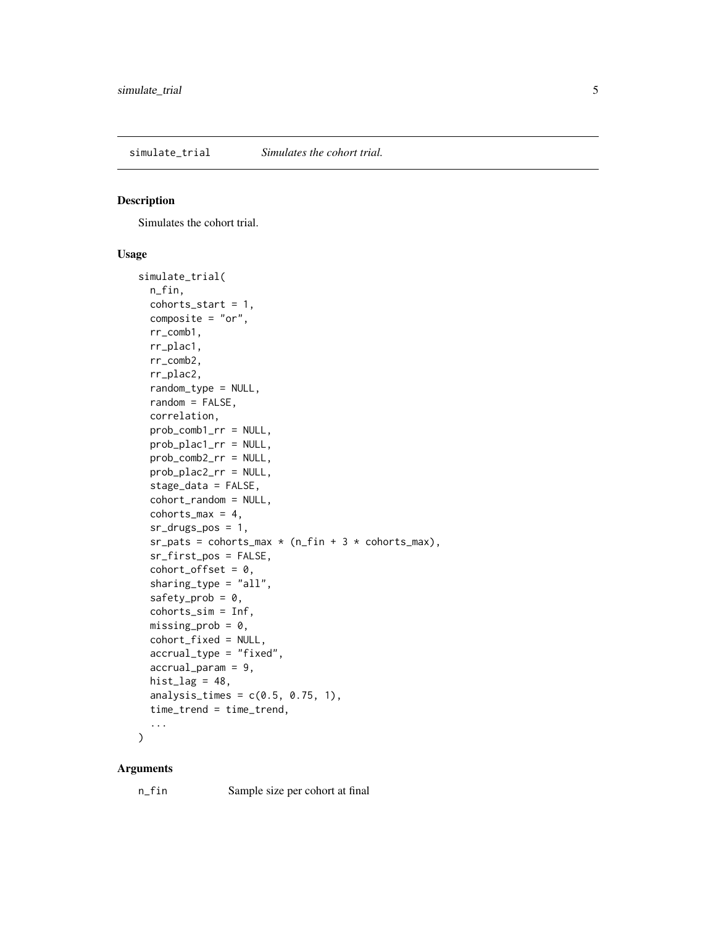<span id="page-4-0"></span>simulate\_trial *Simulates the cohort trial.*

#### Description

Simulates the cohort trial.

#### Usage

```
simulate_trial(
 n_fin,
  cohorts\_start = 1,
 composite = "or",
  rr_comb1,
  rr_plac1,
  rr_comb2,
  rr_plac2,
  random_type = NULL,
  random = FALSE,
  correlation,
 prob_comb1_rr = NULL,
  prob_plac1_rr = NULL,
 prob_comb2_rr = NULL,
 prob_plac2_rr = NULL,
  stage_data = FALSE,
  cohort_random = NULL,
  cohorts_max = 4,
  sr_drugs_pos = 1,
  sr_pats = cohorts_max * (n_fn + 3 * cohorts_max),sr_first_pos = FALSE,
  cohort_ofset = 0,sharing_type = "all",
  safety_prob = 0,cohorts_sim = Inf,
 missing_prob = 0,cohort_fixed = NULL,
  accrual_type = "fixed",
  accrual_param = 9,
 hist_lag = 48,
  analysis_times = c(0.5, 0.75, 1),
  time_trend = time_trend,
  ...
```
#### $\mathcal{L}$

#### Arguments

n\_fin Sample size per cohort at final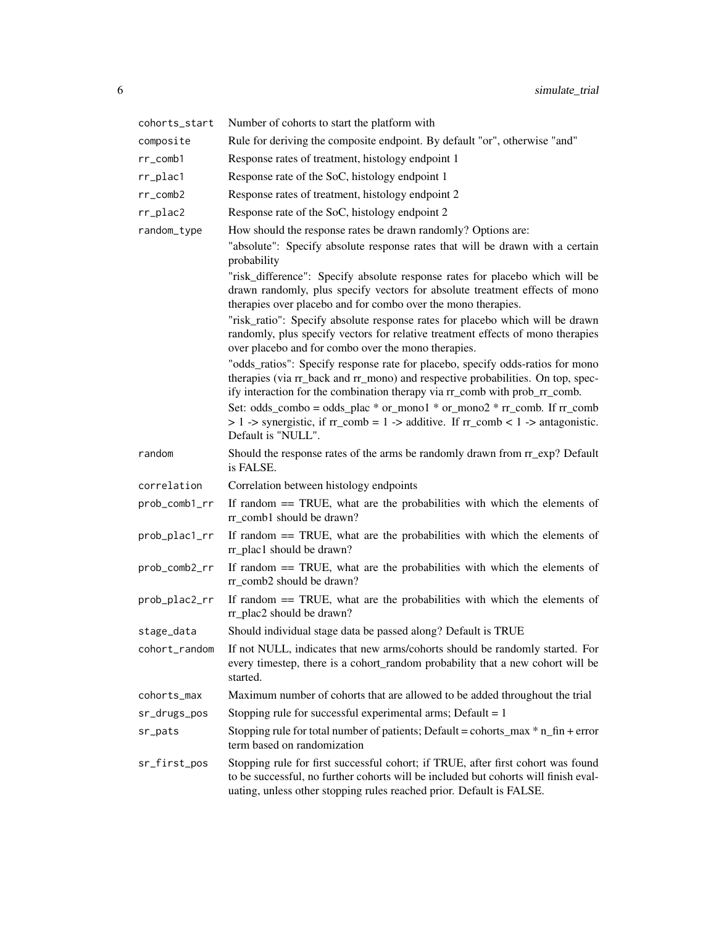| cohorts_start | Number of cohorts to start the platform with                                                                                                                                                                                                                                                                                                                                                                                                                                                                                                                                                                                                                                                                                                                                                                                                                                                                                                                                                                                                                                  |
|---------------|-------------------------------------------------------------------------------------------------------------------------------------------------------------------------------------------------------------------------------------------------------------------------------------------------------------------------------------------------------------------------------------------------------------------------------------------------------------------------------------------------------------------------------------------------------------------------------------------------------------------------------------------------------------------------------------------------------------------------------------------------------------------------------------------------------------------------------------------------------------------------------------------------------------------------------------------------------------------------------------------------------------------------------------------------------------------------------|
| composite     | Rule for deriving the composite endpoint. By default "or", otherwise "and"                                                                                                                                                                                                                                                                                                                                                                                                                                                                                                                                                                                                                                                                                                                                                                                                                                                                                                                                                                                                    |
| $rr\_comb1$   | Response rates of treatment, histology endpoint 1                                                                                                                                                                                                                                                                                                                                                                                                                                                                                                                                                                                                                                                                                                                                                                                                                                                                                                                                                                                                                             |
| rr_plac1      | Response rate of the SoC, histology endpoint 1                                                                                                                                                                                                                                                                                                                                                                                                                                                                                                                                                                                                                                                                                                                                                                                                                                                                                                                                                                                                                                |
| $rr\_comb2$   | Response rates of treatment, histology endpoint 2                                                                                                                                                                                                                                                                                                                                                                                                                                                                                                                                                                                                                                                                                                                                                                                                                                                                                                                                                                                                                             |
| $rr\_place2$  | Response rate of the SoC, histology endpoint 2                                                                                                                                                                                                                                                                                                                                                                                                                                                                                                                                                                                                                                                                                                                                                                                                                                                                                                                                                                                                                                |
| random_type   | How should the response rates be drawn randomly? Options are:<br>"absolute": Specify absolute response rates that will be drawn with a certain<br>probability<br>"risk_difference": Specify absolute response rates for placebo which will be<br>drawn randomly, plus specify vectors for absolute treatment effects of mono<br>therapies over placebo and for combo over the mono therapies.<br>"risk_ratio": Specify absolute response rates for placebo which will be drawn<br>randomly, plus specify vectors for relative treatment effects of mono therapies<br>over placebo and for combo over the mono therapies.<br>"odds_ratios": Specify response rate for placebo, specify odds-ratios for mono<br>therapies (via rr_back and rr_mono) and respective probabilities. On top, spec-<br>ify interaction for the combination therapy via rr_comb with prob_rr_comb.<br>Set: odds_combo = odds_plac * or_mono1 * or_mono2 * $rr$ _comb. If $rr$ _comb<br>$> 1$ -> synergistic, if $rr\_comb = 1$ -> additive. If $rr\_comb < 1$ -> antagonistic.<br>Default is "NULL". |
| random        | Should the response rates of the arms be randomly drawn from $rr\_exp$ ? Default<br>is FALSE.                                                                                                                                                                                                                                                                                                                                                                                                                                                                                                                                                                                                                                                                                                                                                                                                                                                                                                                                                                                 |
| correlation   | Correlation between histology endpoints                                                                                                                                                                                                                                                                                                                                                                                                                                                                                                                                                                                                                                                                                                                                                                                                                                                                                                                                                                                                                                       |
| prob_comb1_rr | If random $==$ TRUE, what are the probabilities with which the elements of<br>rr_comb1 should be drawn?                                                                                                                                                                                                                                                                                                                                                                                                                                                                                                                                                                                                                                                                                                                                                                                                                                                                                                                                                                       |
| prob_plac1_rr | If random $==$ TRUE, what are the probabilities with which the elements of<br>rr_plac1 should be drawn?                                                                                                                                                                                                                                                                                                                                                                                                                                                                                                                                                                                                                                                                                                                                                                                                                                                                                                                                                                       |
| prob_comb2_rr | If random $==$ TRUE, what are the probabilities with which the elements of<br>rr comb2 should be drawn?                                                                                                                                                                                                                                                                                                                                                                                                                                                                                                                                                                                                                                                                                                                                                                                                                                                                                                                                                                       |
| prob_plac2_rr | If random $==$ TRUE, what are the probabilities with which the elements of<br>rr_plac2 should be drawn?                                                                                                                                                                                                                                                                                                                                                                                                                                                                                                                                                                                                                                                                                                                                                                                                                                                                                                                                                                       |
| stage_data    | Should individual stage data be passed along? Default is TRUE                                                                                                                                                                                                                                                                                                                                                                                                                                                                                                                                                                                                                                                                                                                                                                                                                                                                                                                                                                                                                 |
| cohort_random | If not NULL, indicates that new arms/cohorts should be randomly started. For<br>every timestep, there is a cohort_random probability that a new cohort will be<br>started.                                                                                                                                                                                                                                                                                                                                                                                                                                                                                                                                                                                                                                                                                                                                                                                                                                                                                                    |
| cohorts_max   | Maximum number of cohorts that are allowed to be added throughout the trial                                                                                                                                                                                                                                                                                                                                                                                                                                                                                                                                                                                                                                                                                                                                                                                                                                                                                                                                                                                                   |
| sr_drugs_pos  | Stopping rule for successful experimental arms; Default = $1$                                                                                                                                                                                                                                                                                                                                                                                                                                                                                                                                                                                                                                                                                                                                                                                                                                                                                                                                                                                                                 |
| sr_pats       | Stopping rule for total number of patients; Default = cohorts_max * n_fin + error<br>term based on randomization                                                                                                                                                                                                                                                                                                                                                                                                                                                                                                                                                                                                                                                                                                                                                                                                                                                                                                                                                              |
| sr_first_pos  | Stopping rule for first successful cohort; if TRUE, after first cohort was found<br>to be successful, no further cohorts will be included but cohorts will finish eval-<br>uating, unless other stopping rules reached prior. Default is FALSE.                                                                                                                                                                                                                                                                                                                                                                                                                                                                                                                                                                                                                                                                                                                                                                                                                               |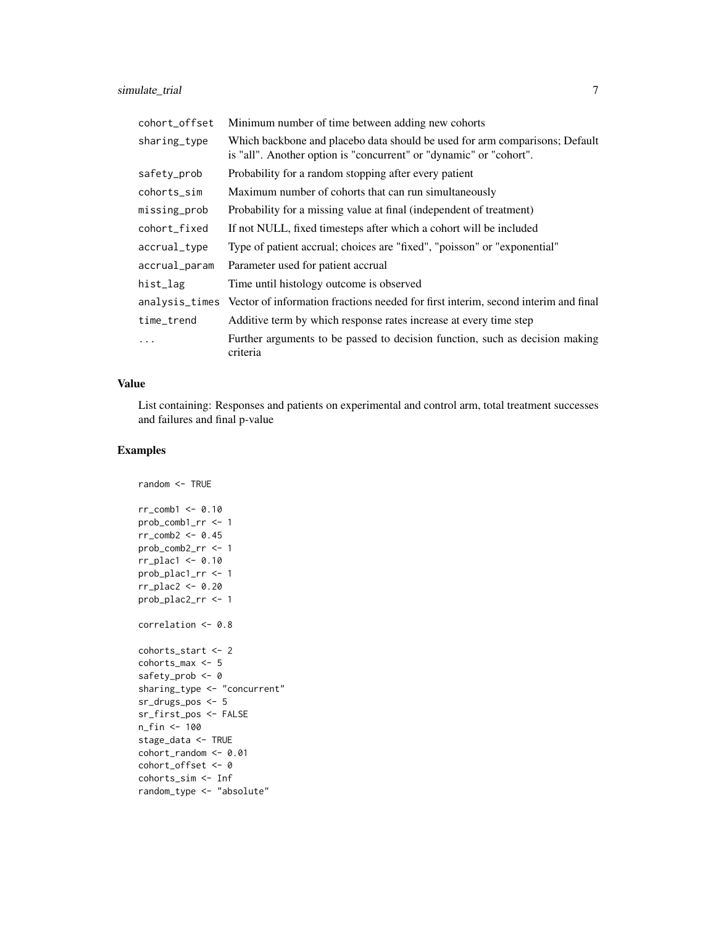| cohort_offset | Minimum number of time between adding new cohorts                                                                                                 |  |  |  |  |  |  |  |  |
|---------------|---------------------------------------------------------------------------------------------------------------------------------------------------|--|--|--|--|--|--|--|--|
| sharing_type  | Which backbone and placebo data should be used for arm comparisons; Default<br>is "all". Another option is "concurrent" or "dynamic" or "cohort". |  |  |  |  |  |  |  |  |
| safety_prob   | Probability for a random stopping after every patient                                                                                             |  |  |  |  |  |  |  |  |
| cohorts_sim   | Maximum number of cohorts that can run simultaneously                                                                                             |  |  |  |  |  |  |  |  |
| missing_prob  | Probability for a missing value at final (independent of treatment)                                                                               |  |  |  |  |  |  |  |  |
| cohort_fixed  | If not NULL, fixed timesteps after which a cohort will be included                                                                                |  |  |  |  |  |  |  |  |
| accrual_type  | Type of patient accrual; choices are "fixed", "poisson" or "exponential"                                                                          |  |  |  |  |  |  |  |  |
| accrual_param | Parameter used for patient accrual                                                                                                                |  |  |  |  |  |  |  |  |
| hist_lag      | Time until histology outcome is observed                                                                                                          |  |  |  |  |  |  |  |  |
|               | analysis_times Vector of information fractions needed for first interim, second interim and final                                                 |  |  |  |  |  |  |  |  |
| time_trend    | Additive term by which response rates increase at every time step                                                                                 |  |  |  |  |  |  |  |  |
| .             | Further arguments to be passed to decision function, such as decision making<br>criteria                                                          |  |  |  |  |  |  |  |  |

#### Value

List containing: Responses and patients on experimental and control arm, total treatment successes and failures and final p-value

#### Examples

```
random <- TRUE
rr_comb1 <- 0.10
prob_comb1_rr <- 1
rr_comb2 <- 0.45
prob_comb2_rr <- 1
rr_plac1 <- 0.10
prob_plac1_rr <- 1
rr_plac2 <- 0.20
prob_plac2_rr <- 1
correlation <- 0.8
cohorts_start <- 2
cohorts_max <- 5
safety_prob <- 0
sharing_type <- "concurrent"
sr_drugs_pos <- 5
sr_first_pos <- FALSE
n_fin <- 100
stage_data <- TRUE
cohort_random <- 0.01
cohort_offset <- 0
cohorts_sim <- Inf
random_type <- "absolute"
```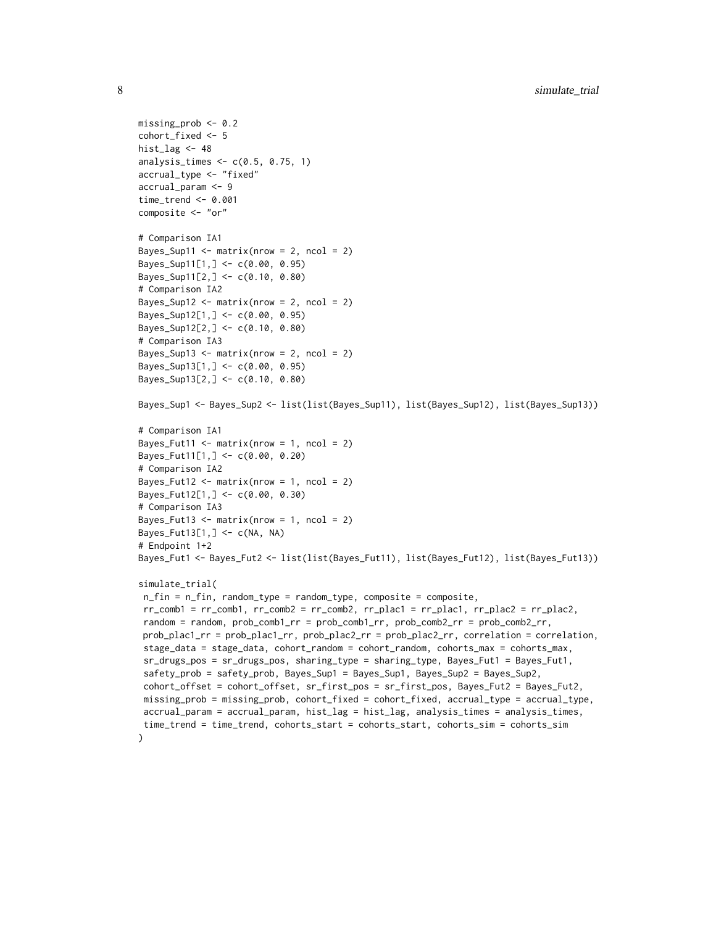```
missing_prob <- 0.2
cohort_fixed <- 5
hist_lag <-48analysis_times <- c(0.5, 0.75, 1)
accrual_type <- "fixed"
accrual_param <- 9
time_trend <- 0.001
composite <- "or"
# Comparison IA1
Bayes_Sup11 <- matrix(nrow = 2, ncol = 2)
Bayes_Sup11[1,] <- c(0.00, 0.95)Bayes_Sup11[2,] <- c(0.10, 0.80)
# Comparison IA2
Bayes_Sup12 <- matrix(nrow = 2, ncol = 2)
Bayes_Sup12[1,] <- c(0.00, 0.95)Bayes_Sup12[2,] <- c(0.10, 0.80)
# Comparison IA3
Bayes_Sup13 <- matrix(nrow = 2, ncol = 2)
Bayes_Sup13[1,] <- c(0.00, 0.95)
Bayes_Sup13[2,] <- c(0.10, 0.80)
Bayes_Sup1 <- Bayes_Sup2 <- list(list(Bayes_Sup11), list(Bayes_Sup12), list(Bayes_Sup13))
# Comparison IA1
Bayes_Fut11 <- matrix(nrow = 1, ncol = 2)
Bayes_Fut11[1,] <- c(0.00, 0.20)
# Comparison IA2
Bayes_Fut12 \leq matrix(nrow = 1, ncol = 2)
Bayes_Fut12[1,] <- c(0.00, 0.30)
# Comparison IA3
Bayes_Fut13 <- matrix(nrow = 1, ncol = 2)
Bayes_Fut13[1,] <- c(NA, NA)
# Endpoint 1+2
Bayes_Fut1 <- Bayes_Fut2 <- list(list(Bayes_Fut11), list(Bayes_Fut12), list(Bayes_Fut13))
simulate_trial(
n_fin = n_fin, random_type = random_type, composite = composite,
rr\_comb1 = rr\_comb1, rr\_comb2 = rr\_comb2, rr\_plac1 = rr\_plac1, rr\_plac2 = rr\_plac2,
random = random, prob_comb1_rr = prob_comb1_rr, prob_comb2_rr = prob_comb2_rr,
prob_plac1_rr = prob_plac1_rr, prob_plac2_rr = prob_plac2_rr, correlation = correlation,
stage_data = stage_data, cohort_random = cohort_random, cohorts_max = cohorts_max,
sr_drugs_pos = sr_drugs_pos, sharing_type = sharing_type, Bayes_Fut1 = Bayes_Fut1,
 safety_prob = safety_prob, Bayes_Sup1 = Bayes_Sup1, Bayes_Sup2 = Bayes_Sup2,
cohort_offset = cohort_offset, sr_first_pos = sr_first_pos, Bayes_Fut2 = Bayes_Fut2,
missing_prob = missing_prob, cohort_fixed = cohort_fixed, accrual_type = accrual_type,
accrual_param = accrual_param, hist_lag = hist_lag, analysis_times = analysis_times,
time_trend = time_trend, cohorts_start = cohorts_start, cohorts_sim = cohorts_sim
\mathcal{L}
```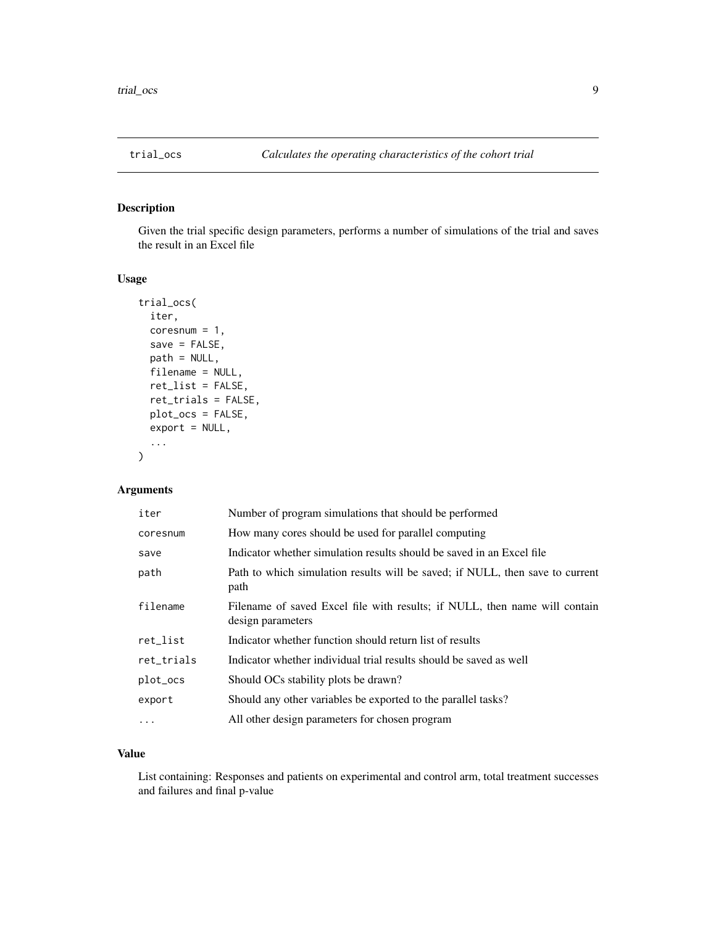<span id="page-8-0"></span>

#### Description

Given the trial specific design parameters, performs a number of simulations of the trial and saves the result in an Excel file

#### Usage

```
trial_ocs(
  iter,
  coresnum = 1,
  save = FALSE,
 path = NULL,
  filename = NULL,
  ret_list = FALSE,
  ret_trials = FALSE,
 plot_ocs = FALSE,
  export = NULL,...
)
```
#### Arguments

| iter       | Number of program simulations that should be performed                                          |
|------------|-------------------------------------------------------------------------------------------------|
| coresnum   | How many cores should be used for parallel computing                                            |
| save       | Indicator whether simulation results should be saved in an Excel file                           |
| path       | Path to which simulation results will be saved; if NULL, then save to current<br>path           |
| filename   | Filename of saved Excel file with results; if NULL, then name will contain<br>design parameters |
| ret_list   | Indicator whether function should return list of results                                        |
| ret_trials | Indicator whether individual trial results should be saved as well                              |
| plot_ocs   | Should OCs stability plots be drawn?                                                            |
| export     | Should any other variables be exported to the parallel tasks?                                   |
| .          | All other design parameters for chosen program                                                  |

#### Value

List containing: Responses and patients on experimental and control arm, total treatment successes and failures and final p-value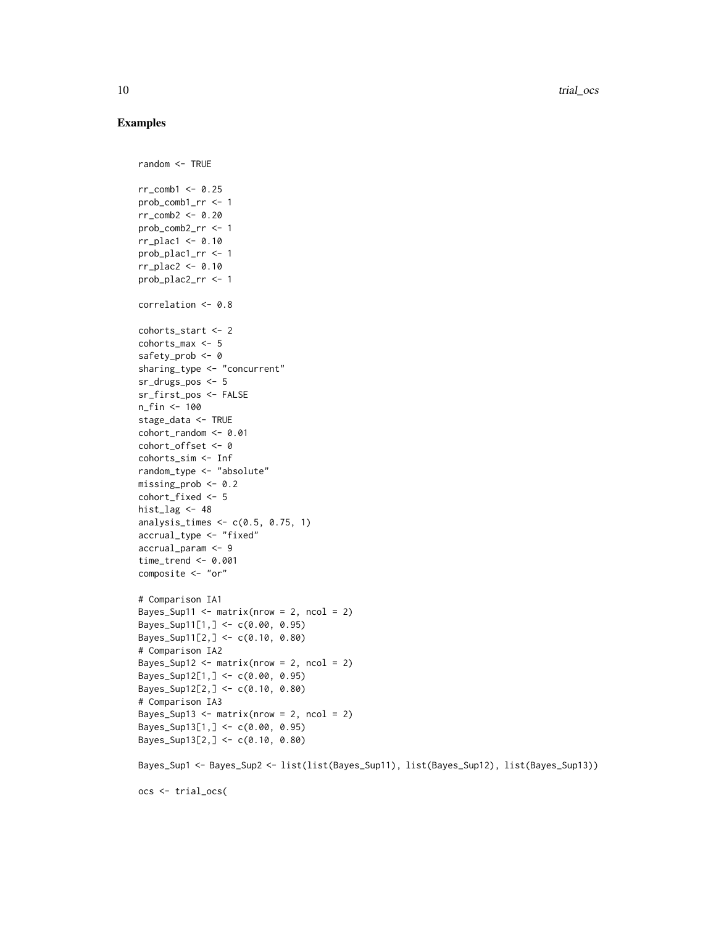#### Examples

```
random <- TRUE
rr\_comb1 <- 0.25
prob_comb1_rr <- 1
rr_comb2 <- 0.20
prob_comb2_rr <- 1
rr_plac1 <- 0.10
prob_plac1_rr <- 1
rr_plac2 <- 0.10
prob_plac2_rr <- 1
correlation <- 0.8
cohorts_start <- 2
cohorts_max <- 5
safety_prob <- 0
sharing_type <- "concurrent"
sr_drugs_pos <- 5
sr_first_pos <- FALSE
n_fin <- 100
stage_data <- TRUE
cohort_random <- 0.01
cohort_offset <- 0
cohorts_sim <- Inf
random_type <- "absolute"
missing_prob <- 0.2
cohort_fixed <- 5
hist_lag <-48analysis_times <- c(0.5, 0.75, 1)
accrual_type <- "fixed"
accrual_param <- 9
time_trend <- 0.001
composite <- "or"
# Comparison IA1
Bayes_Sup11 <- matrix(nrow = 2, ncol = 2)
Bayes_Sup11[1,] <- c(0.00, 0.95)Bayes_Sup11[2,] <- c(0.10, 0.80)# Comparison IA2
Bayes_Sup12 <- matrix(nrow = 2, ncol = 2)
Bayes_Sup12[1,] <- c(0.00, 0.95)
Bayes_Sup12[2,] <- c(0.10, 0.80)
# Comparison IA3
Bayes_Sup13 <- matrix(nrow = 2, ncol = 2)
Bayes_Sup13[1,] <- c(0.00, 0.95)
Bayes_Sup13[2,] <- c(0.10, 0.80)
Bayes_Sup1 <- Bayes_Sup2 <- list(list(Bayes_Sup11), list(Bayes_Sup12), list(Bayes_Sup13))
ocs <- trial_ocs(
```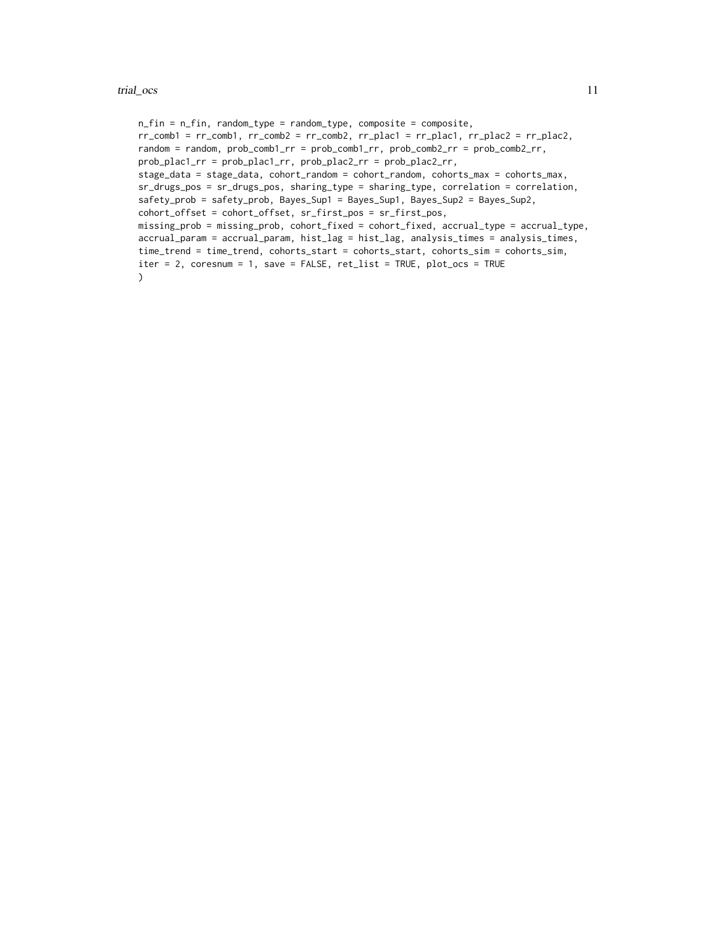#### trial\_ocs 11

```
n_fin = n_fin, random_type = random_type, composite = composite,
rr\_comb1 = rr\_comb1, rr\_comb2 = rr\_comb2, rr\_plac1 = rr\_plac1, rr\_plac2 = rr\_plac2,random = random, prob_comb1_rr = prob_comb1_rr, prob_comb2_rr = prob_comb2_rr,
prob_plac1_rr = prob_plac1_rr, prob_plac2_rr = prob_plac2_rr,
stage_data = stage_data, cohort_random = cohort_random, cohorts_max = cohorts_max,
sr_drugs_pos = sr_drugs_pos, sharing_type = sharing_type, correlation = correlation,
safety_prob = safety_prob, Bayes_Sup1 = Bayes_Sup1, Bayes_Sup2 = Bayes_Sup2,
cohort_offset = cohort_offset, sr_first_pos = sr_first_pos,
missing_prob = missing_prob, cohort_fixed = cohort_fixed, accrual_type = accrual_type,
accrual_param = accrual_param, hist_lag = hist_lag, analysis_times = analysis_times,
time_trend = time_trend, cohorts_start = cohorts_start, cohorts_sim = cohorts_sim,
iter = 2, coresnum = 1, save = FALSE, ret_list = TRUE, plot_ocs = TRUE
\mathcal{L}
```